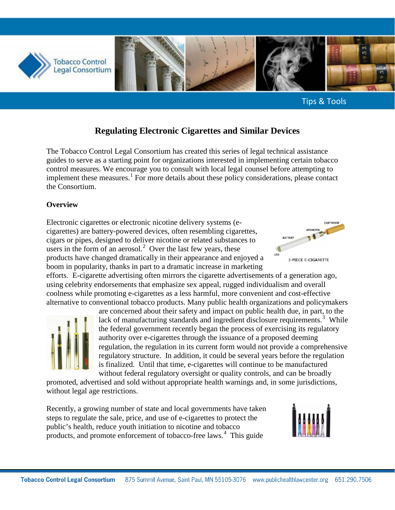

Tips & Tools

# **Regulating Electronic Cigarettes and Similar Devices**

The Tobacco Control Legal Consortium has created this series of legal technical assistance guides to serve as a starting point for organizations interested in implementing certain tobacco control measures. We encourage you to consult with local legal counsel before attempting to implement these measures.<sup>[1](#page-12-0)</sup> For more details about these policy considerations, please contact the Consortium.

#### **Overview**

Electronic cigarettes or electronic nicotine delivery systems (ecigarettes) are battery-powered devices, often resembling cigarettes, cigars or pipes, designed to deliver nicotine or related substances to users in the form of an aerosol.<sup>[2](#page-12-1)</sup> Over the last few years, these products have changed dramatically in their appearance and enjoyed a boom in popularity, thanks in part to a dramatic increase in marketing



efforts. E-cigarette advertising often mirrors the cigarette advertisements of a generation ago, using celebrity endorsements that emphasize sex appeal, rugged individualism and overall coolness while promoting e-cigarettes as a less harmful, more convenient and cost-effective alternative to conventional tobacco products. Many public health organizations and policymakers



are concerned about their safety and impact on public health due, in part, to the lack of manufacturing standards and ingredient disclosure requirements.<sup>[3](#page-12-2)</sup> While the federal government recently began the process of exercising its regulatory authority over e-cigarettes through the issuance of a proposed deeming regulation, the regulation in its current form would not provide a comprehensive regulatory structure. In addition, it could be several years before the regulation is finalized. Until that time, e-cigarettes will continue to be manufactured without federal regulatory oversight or quality controls, and can be broadly

promoted, advertised and sold without appropriate health warnings and, in some jurisdictions, without legal age restrictions.

Recently, a growing number of state and local governments have taken steps to regulate the sale, price, and use of e-cigarettes to protect the public's health, reduce youth initiation to nicotine and tobacco products, and promote enforcement of tobacco-free laws.<sup>[4](#page-12-3)</sup> This guide

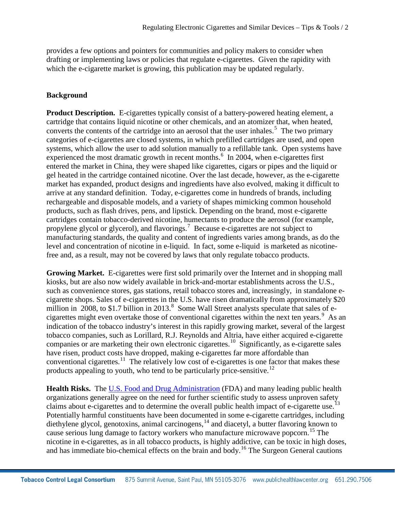provides a few options and pointers for communities and policy makers to consider when drafting or implementing laws or policies that regulate e-cigarettes. Given the rapidity with which the e-cigarette market is growing, this publication may be updated regularly.

### **Background**

**Product Description.** E-cigarettes typically consist of a battery-powered heating element, a cartridge that contains liquid nicotine or other chemicals, and an atomizer that, when heated, converts the contents of the cartridge into an aerosol that the user inhales.<sup>[5](#page-13-0)</sup> The two primary categories of e-cigarettes are closed systems, in which prefilled cartridges are used, and open systems, which allow the user to add solution manually to a refillable tank. Open systems have experienced the most dramatic growth in recent months.<sup>[6](#page-13-1)</sup> In 2004, when e-cigarettes first entered the market in China, they were shaped like cigarettes, cigars or pipes and the liquid or gel heated in the cartridge contained nicotine. Over the last decade, however, as the e-cigarette market has expanded, product designs and ingredients have also evolved, making it difficult to arrive at any standard definition. Today, e-cigarettes come in hundreds of brands, including rechargeable and disposable models, and a variety of shapes mimicking common household products, such as flash drives, pens, and lipstick. Depending on the brand, most e-cigarette cartridges contain tobacco-derived nicotine, humectants to produce the aerosol (for example, propylene glycol or glycerol), and flavorings.<sup>[7](#page-13-2)</sup> Because e-cigarettes are not subject to manufacturing standards, the quality and content of ingredients varies among brands, as do the level and concentration of nicotine in e-liquid. In fact, some e-liquid is marketed as nicotinefree and, as a result, may not be covered by laws that only regulate tobacco products.

Growing Market. E-cigarettes were first sold primarily over the Internet and in shopping mall kiosks, but are also now widely available in brick-and-mortar establishments across the U.S., such as convenience stores, gas stations, retail tobacco stores and, increasingly, in standalone ecigarette shops. Sales of e-cigarettes in the U.S. have risen dramatically from approximately \$20 million in 200[8](#page-13-3), to \$1.7 billion in 2013.<sup>8</sup> Some Wall Street analysts speculate that sales of e-cigarettes might even overtake those of conventional cigarettes within the next ten years.<sup>[9](#page-13-4)</sup> As an indication of the tobacco industry's interest in this rapidly growing market, several of the largest tobacco companies, such as Lorillard, R.J. Reynolds and Altria, have either acquired e-cigarette companies or are marketing their own electronic cigarettes.[10](#page-13-5) Significantly, as e-cigarette sales have risen, product costs have dropped, making e-cigarettes far more affordable than conventional cigarettes.<sup>11</sup> The relatively low cost of e-cigarettes is one factor that makes these products appealing to youth, who tend to be particularly price-sensitive.<sup>[12](#page-13-7)</sup>

**Health Risks.** The [U.S. Food and Drug Administration](http://www.fda.gov/NewsEvents/PublicHealthFocus/ucm172906.htm) (FDA) and many leading public health organizations generally agree on the need for further scientific study to assess unproven safety claims about e-cigarettes and to determine the overall public health impact of e-cigarette use.<sup>[13](#page-13-8)</sup> Potentially harmful constituents have been documented in some e-cigarette cartridges, including diethylene glycol, genotoxins, animal carcinogens, <sup>[14](#page-13-9)</sup> and diacetyl, a butter flavoring known to cause serious lung damage to factory workers who manufacture microwave popcorn. [15](#page-13-10) The nicotine in e-cigarettes, as in all tobacco products, is highly addictive, can be toxic in high doses, and has immediate bio-chemical effects on the brain and body.<sup>[16](#page-13-11)</sup> The Surgeon General cautions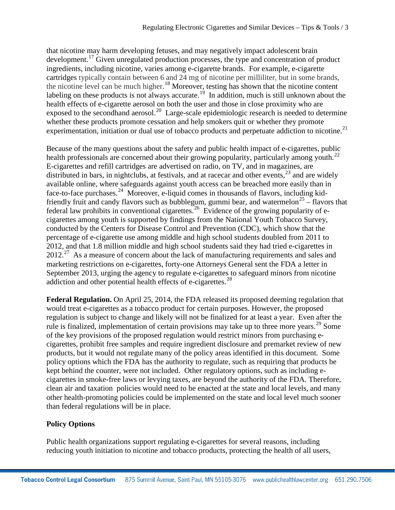that nicotine may harm developing fetuses, and may negatively impact adolescent brain development.<sup>[17](#page-14-0)</sup> Given unregulated production processes, the type and concentration of product ingredients, including nicotine, varies among e-cigarette brands. For example, e-cigarette cartridges typically contain between 6 and 24 mg of nicotine per milliliter, but in some brands, the nicotine level can be much higher. [18](#page-14-1) Moreover, testing has shown that the nicotine content labeling on these products is not always accurate.<sup>19</sup> In addition, much is still unknown about the health effects of e-cigarette aerosol on both the user and those in close proximity who are exposed to the secondhand aerosol.<sup>[20](#page-14-3)</sup> Large-scale epidemiologic research is needed to determine whether these products promote cessation and help smokers quit or whether they promote experimentation, initiation or dual use of tobacco products and perpetuate addiction to nicotine.<sup>[21](#page-14-4)</sup>

Because of the many questions about the safety and public health impact of e-cigarettes, public health professionals are concerned about their growing popularity, particularly among youth.<sup>22</sup> E-cigarettes and refill cartridges are advertised on radio, on TV, and in magazines, are distributed in bars, in nightclubs, at festivals, and at racecar and other events,<sup>[23](#page-14-6)</sup> and are widely available online, where safeguards against youth access can be breached more easily than in face-to-face purchases.<sup>[24](#page-14-7)</sup> Moreover, e-liquid comes in thousands of flavors, including kid-friendly fruit and candy flavors such as bubblegum, gummi bear, and watermelon<sup>[25](#page-14-8)</sup> – flavors that federal law prohibits in conventional cigarettes.<sup>[26](#page-14-9)</sup> Evidence of the growing popularity of ecigarettes among youth is supported by findings from the National Youth Tobacco Survey, conducted by the Centers for Disease Control and Prevention (CDC), which show that the percentage of e-cigarette use among middle and high school students doubled from 2011 to 2012, and that 1.8 million middle and high school students said they had tried e-cigarettes in  $2012.<sup>27</sup>$  As a measure of concern about the lack of manufacturing requirements and sales and marketing restrictions on e-cigarettes, forty-one Attorneys General sent the FDA a letter in September 2013, urging the agency to regulate e-cigarettes to safeguard minors from nicotine addiction and other potential health effects of e-cigarettes. [28](#page-14-11)

**Federal Regulation.** On April 25, 2014, the FDA released its proposed deeming regulation that would treat e-cigarettes as a tobacco product for certain purposes. However, the proposed regulation is subject to change and likely will not be finalized for at least a year. Even after the rule is finalized, implementation of certain provisions may take up to three more years.<sup>[29](#page-14-12)</sup> Some of the key provisions of the proposed regulation would restrict minors from purchasing ecigarettes, prohibit free samples and require ingredient disclosure and premarket review of new products, but it would not regulate many of the policy areas identified in this document. Some policy options which the FDA has the authority to regulate, such as requiring that products be kept behind the counter, were not included. Other regulatory options, such as including ecigarettes in smoke-free laws or levying taxes, are beyond the authority of the FDA. Therefore, clean air and taxation policies would need to be enacted at the state and local levels, and many other health-promoting policies could be implemented on the state and local level much sooner than federal regulations will be in place.

### **Policy Options**

Public health organizations support regulating e-cigarettes for several reasons, including reducing youth initiation to nicotine and tobacco products, protecting the health of all users,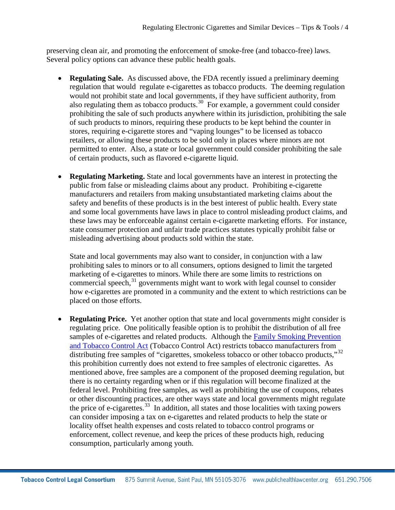preserving clean air, and promoting the enforcement of smoke-free (and tobacco-free) laws. Several policy options can advance these public health goals.

- **Regulating Sale.** As discussed above, the FDA recently issued a preliminary deeming regulation that would regulate e-cigarettes as tobacco products. The deeming regulation would not prohibit state and local governments, if they have sufficient authority, from also regulating them as tobacco products.<sup>[30](#page-15-0)</sup> For example, a government could consider prohibiting the sale of such products anywhere within its jurisdiction, prohibiting the sale of such products to minors, requiring these products to be kept behind the counter in stores, requiring e-cigarette stores and "vaping lounges" to be licensed as tobacco retailers, or allowing these products to be sold only in places where minors are not permitted to enter. Also, a state or local government could consider prohibiting the sale of certain products, such as flavored e-cigarette liquid.
- **Regulating Marketing.** State and local governments have an interest in protecting the public from false or misleading claims about any product. Prohibiting e-cigarette manufacturers and retailers from making unsubstantiated marketing claims about the safety and benefits of these products is in the best interest of public health. Every state and some local governments have laws in place to control misleading product claims, and these laws may be enforceable against certain e-cigarette marketing efforts. For instance, state consumer protection and unfair trade practices statutes typically prohibit false or misleading advertising about products sold within the state.

State and local governments may also want to consider, in conjunction with a law prohibiting sales to minors or to all consumers, options designed to limit the targeted marketing of e-cigarettes to minors. While there are some limits to restrictions on commercial speech, $31$  governments might want to work with legal counsel to consider how e-cigarettes are promoted in a community and the extent to which restrictions can be placed on those efforts.

**Regulating Price.** Yet another option that state and local governments might consider is regulating price. One politically feasible option is to prohibit the distribution of all free samples of e-cigarettes and related products. Although the [Family Smoking Prevention](http://publichealthlawcenter.org/sites/default/files/resources/fda-tobacco-regulation-final-bill.pdf)  [and Tobacco Control Act](http://publichealthlawcenter.org/sites/default/files/resources/fda-tobacco-regulation-final-bill.pdf) (Tobacco Control Act) restricts tobacco manufacturers from distributing free samples of "cigarettes, smokeless tobacco or other tobacco products,"<sup>[32](#page-15-2)</sup> this prohibition currently does not extend to free samples of electronic cigarettes. As mentioned above, free samples are a component of the proposed deeming regulation, but there is no certainty regarding when or if this regulation will become finalized at the federal level. Prohibiting free samples, as well as prohibiting the use of coupons, rebates or other discounting practices, are other ways state and local governments might regulate the price of e-cigarettes.<sup>33</sup> In addition, all states and those localities with taxing powers can consider imposing a tax on e-cigarettes and related products to help the state or locality offset health expenses and costs related to tobacco control programs or enforcement, collect revenue, and keep the prices of these products high, reducing consumption, particularly among youth.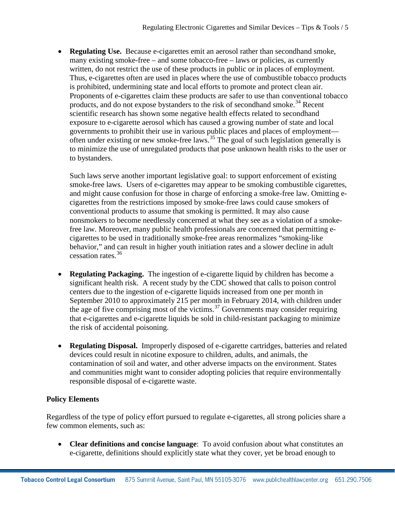• **Regulating Use.** Because e-cigarettes emit an aerosol rather than secondhand smoke, many existing smoke-free – and some tobacco-free – laws or policies, as currently written, do not restrict the use of these products in public or in places of employment. Thus, e-cigarettes often are used in places where the use of combustible tobacco products is prohibited, undermining state and local efforts to promote and protect clean air. Proponents of e-cigarettes claim these products are safer to use than conventional tobacco products, and do not expose bystanders to the risk of secondhand smoke.<sup>[34](#page-15-4)</sup> Recent scientific research has shown some negative health effects related to secondhand exposure to e-cigarette aerosol which has caused a growing number of state and local governments to prohibit their use in various public places and places of employment— often under existing or new smoke-free laws.<sup>[35](#page-15-5)</sup> The goal of such legislation generally is to minimize the use of unregulated products that pose unknown health risks to the user or to bystanders.

Such laws serve another important legislative goal: to support enforcement of existing smoke-free laws. Users of e-cigarettes may appear to be smoking combustible cigarettes, and might cause confusion for those in charge of enforcing a smoke-free law. Omitting ecigarettes from the restrictions imposed by smoke-free laws could cause smokers of conventional products to assume that smoking is permitted. It may also cause nonsmokers to become needlessly concerned at what they see as a violation of a smokefree law. Moreover, many public health professionals are concerned that permitting ecigarettes to be used in traditionally smoke-free areas renormalizes "smoking-like behavior," and can result in higher youth initiation rates and a slower decline in adult cessation rates.[36](#page-15-6)

- **Regulating Packaging.** The ingestion of e-cigarette liquid by children has become a significant health risk. A recent study by the CDC showed that calls to poison control centers due to the ingestion of e-cigarette liquids increased from one per month in September 2010 to approximately 215 per month in February 2014, with children under the age of five comprising most of the victims. [37](#page-15-7) Governments may consider requiring that e-cigarettes and e-cigarette liquids be sold in child-resistant packaging to minimize the risk of accidental poisoning.
- **Regulating Disposal.** Improperly disposed of e-cigarette cartridges, batteries and related devices could result in nicotine exposure to children, adults, and animals, the contamination of soil and water, and other adverse impacts on the environment. States and communities might want to consider adopting policies that require environmentally responsible disposal of e-cigarette waste.

## **Policy Elements**

Regardless of the type of policy effort pursued to regulate e-cigarettes, all strong policies share a few common elements, such as:

• **Clear definitions and concise language**: To avoid confusion about what constitutes an e-cigarette, definitions should explicitly state what they cover, yet be broad enough to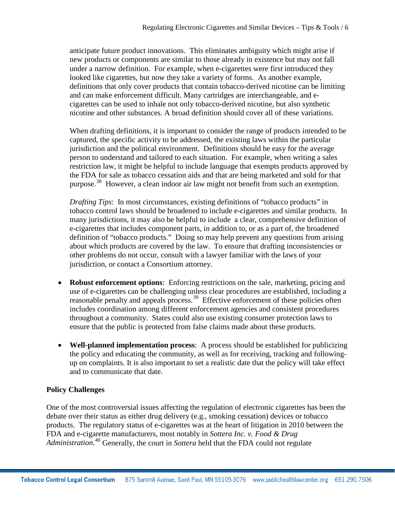anticipate future product innovations. This eliminates ambiguity which might arise if new products or components are similar to those already in existence but may not fall under a narrow definition. For example, when e-cigarettes were first introduced they looked like cigarettes, but now they take a variety of forms. As another example, definitions that only cover products that contain tobacco-derived nicotine can be limiting and can make enforcement difficult. Many cartridges are interchangeable, and ecigarettes can be used to inhale not only tobacco-derived nicotine, but also synthetic nicotine and other substances. A broad definition should cover all of these variations.

When drafting definitions, it is important to consider the range of products intended to be captured, the specific activity to be addressed, the existing laws within the particular jurisdiction and the political environment. Definitions should be easy for the average person to understand and tailored to each situation. For example, when writing a sales restriction law, it might be helpful to include language that exempts products approved by the FDA for sale as tobacco cessation aids and that are being marketed and sold for that purpose.[38](#page-15-8) However, a clean indoor air law might not benefit from such an exemption.

*Drafting Tips*: In most circumstances, existing definitions of "tobacco products" in tobacco control laws should be broadened to include e-cigarettes and similar products. In many jurisdictions, it may also be helpful to include a clear, comprehensive definition of e-cigarettes that includes component parts, in addition to, or as a part of, the broadened definition of "tobacco products." Doing so may help prevent any questions from arising about which products are covered by the law. To ensure that drafting inconsistencies or other problems do not occur, consult with a lawyer familiar with the laws of your jurisdiction, or contact a Consortium attorney.

- **Robust enforcement options:** Enforcing restrictions on the sale, marketing, pricing and use of e-cigarettes can be challenging unless clear procedures are established, including a reasonable penalty and appeals process.<sup>39</sup> Effective enforcement of these policies often includes coordination among different enforcement agencies and consistent procedures throughout a community. States could also use existing consumer protection laws to ensure that the public is protected from false claims made about these products.
- **Well-planned implementation process**: A process should be established for publicizing the policy and educating the community, as well as for receiving, tracking and followingup on complaints. It is also important to set a realistic date that the policy will take effect and to communicate that date.

## **Policy Challenges**

One of the most controversial issues affecting the regulation of electronic cigarettes has been the debate over their status as either drug delivery (e.g., smoking cessation) devices or tobacco products. The regulatory status of e-cigarettes was at the heart of litigation in 2010 between the FDA and e-cigarette manufacturers, most notably in *Sottera Inc. v. Food & Drug*  Administration.<sup>[40](#page-15-10)</sup> Generally, the court in *Sottera* held that the FDA could not regulate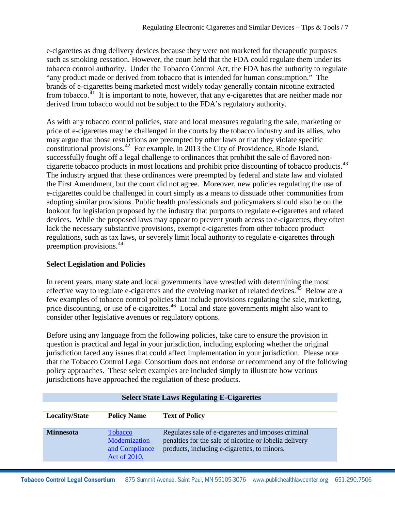e-cigarettes as drug delivery devices because they were not marketed for therapeutic purposes such as smoking cessation. However, the court held that the FDA could regulate them under its tobacco control authority. Under the Tobacco Control Act, the FDA has the authority to regulate "any product made or derived from tobacco that is intended for human consumption." The brands of e-cigarettes being marketed most widely today generally contain nicotine extracted from tobacco.<sup> $41$ </sup> It is important to note, however, that any e-cigarettes that are neither made nor derived from tobacco would not be subject to the FDA's regulatory authority.

As with any tobacco control policies, state and local measures regulating the sale, marketing or price of e-cigarettes may be challenged in the courts by the tobacco industry and its allies, who may argue that those restrictions are preempted by other laws or that they violate specific constitutional provisions. [42](#page-15-12) For example, in 2013 the City of Providence, Rhode Island, successfully fought off a legal challenge to ordinances that prohibit the sale of flavored noncigarette tobacco products in most locations and prohibit price discounting of tobacco products.<sup>43</sup> The industry argued that these ordinances were preempted by federal and state law and violated the First Amendment, but the court did not agree. Moreover, new policies regulating the use of e-cigarettes could be challenged in court simply as a means to dissuade other communities from adopting similar provisions. Public health professionals and policymakers should also be on the lookout for legislation proposed by the industry that purports to regulate e-cigarettes and related devices. While the proposed laws may appear to prevent youth access to e-cigarettes, they often lack the necessary substantive provisions, exempt e-cigarettes from other tobacco product regulations, such as tax laws, or severely limit local authority to regulate e-cigarettes through preemption provisions. [44](#page-15-13)

### **Select Legislation and Policies**

In recent years, many state and local governments have wrestled with determining the most effective way to regulate e-cigarettes and the evolving market of related devices.<sup>45</sup> Below are a few examples of tobacco control policies that include provisions regulating the sale, marketing, price discounting, or use of e-cigarettes.<sup>[46](#page-15-15)</sup> Local and state governments might also want to consider other legislative avenues or regulatory options.

Before using any language from the following policies, take care to ensure the provision in question is practical and legal in your jurisdiction, including exploring whether the original jurisdiction faced any issues that could affect implementation in your jurisdiction. Please note that the Tobacco Control Legal Consortium does not endorse or recommend any of the following policy approaches. These select examples are included simply to illustrate how various jurisdictions have approached the regulation of these products.

| Select State Laws Regulating E-Cigarettes |                                                                   |                                                                                                                                                               |
|-------------------------------------------|-------------------------------------------------------------------|---------------------------------------------------------------------------------------------------------------------------------------------------------------|
| <b>Locality/State</b>                     | <b>Policy Name</b>                                                | <b>Text of Policy</b>                                                                                                                                         |
| <b>Minnesota</b>                          | <b>Tobacco</b><br>Modernization<br>and Compliance<br>Act of 2010, | Regulates sale of e-cigarettes and imposes criminal<br>penalties for the sale of nicotine or lobelia delivery<br>products, including e-cigarettes, to minors. |

### **Select State Laws Regulating E-Cigarettes**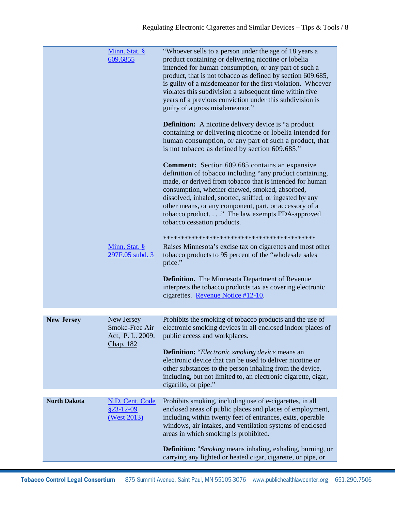|                     | Minn. Stat. §<br>609.6855                                     | "Whoever sells to a person under the age of 18 years a<br>product containing or delivering nicotine or lobelia<br>intended for human consumption, or any part of such a<br>product, that is not tobacco as defined by section 609.685,<br>is guilty of a misdemeanor for the first violation. Whoever<br>violates this subdivision a subsequent time within five<br>years of a previous conviction under this subdivision is<br>guilty of a gross misdemeanor." |
|---------------------|---------------------------------------------------------------|-----------------------------------------------------------------------------------------------------------------------------------------------------------------------------------------------------------------------------------------------------------------------------------------------------------------------------------------------------------------------------------------------------------------------------------------------------------------|
|                     |                                                               | <b>Definition:</b> A nicotine delivery device is "a product"<br>containing or delivering nicotine or lobelia intended for<br>human consumption, or any part of such a product, that<br>is not tobacco as defined by section 609.685."                                                                                                                                                                                                                           |
|                     |                                                               | <b>Comment:</b> Section 609.685 contains an expansive<br>definition of tobacco including "any product containing,<br>made, or derived from tobacco that is intended for human<br>consumption, whether chewed, smoked, absorbed,<br>dissolved, inhaled, snorted, sniffed, or ingested by any<br>other means, or any component, part, or accessory of a<br>tobacco product" The law exempts FDA-approved<br>tobacco cessation products.                           |
|                     | Minn. Stat. §<br>297F.05 subd. 3                              | Raises Minnesota's excise tax on cigarettes and most other<br>tobacco products to 95 percent of the "wholesale sales<br>price."                                                                                                                                                                                                                                                                                                                                 |
|                     |                                                               | <b>Definition.</b> The Minnesota Department of Revenue<br>interprets the tobacco products tax as covering electronic<br>cigarettes. Revenue Notice #12-10.                                                                                                                                                                                                                                                                                                      |
| <b>New Jersey</b>   | New Jersey<br>Smoke-Free Air<br>Act, P. L. 2009,<br>Chap. 182 | Prohibits the smoking of tobacco products and the use of<br>electronic smoking devices in all enclosed indoor places of<br>public access and workplaces.<br><b>Definition:</b> "Electronic smoking device means an<br>electronic device that can be used to deliver nicotine or<br>other substances to the person inhaling from the device,<br>including, but not limited to, an electronic cigarette, cigar,<br>cigarillo, or pipe."                           |
| <b>North Dakota</b> | N.D. Cent. Code<br>$$23-12-09$<br>(West 2013)                 | Prohibits smoking, including use of e-cigarettes, in all<br>enclosed areas of public places and places of employment,<br>including within twenty feet of entrances, exits, operable<br>windows, air intakes, and ventilation systems of enclosed<br>areas in which smoking is prohibited.                                                                                                                                                                       |
|                     |                                                               | <b>Definition:</b> " <i>Smoking</i> means inhaling, exhaling, burning, or<br>carrying any lighted or heated cigar, cigarette, or pipe, or                                                                                                                                                                                                                                                                                                                       |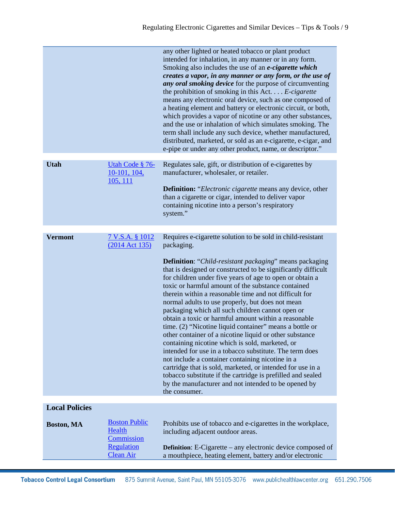|                       |                                | any other lighted or heated tobacco or plant product<br>intended for inhalation, in any manner or in any form.<br>Smoking also includes the use of an <i>e-cigarette which</i><br>creates a vapor, in any manner or any form, or the use of<br>any oral smoking device for the purpose of circumventing<br>the prohibition of smoking in this Act. $\ldots$ E-cigarette<br>means any electronic oral device, such as one composed of<br>a heating element and battery or electronic circuit, or both,<br>which provides a vapor of nicotine or any other substances,<br>and the use or inhalation of which simulates smoking. The<br>term shall include any such device, whether manufactured,<br>distributed, marketed, or sold as an e-cigarette, e-cigar, and<br>e-pipe or under any other product, name, or descriptor."                                                                                                                                              |
|-----------------------|--------------------------------|---------------------------------------------------------------------------------------------------------------------------------------------------------------------------------------------------------------------------------------------------------------------------------------------------------------------------------------------------------------------------------------------------------------------------------------------------------------------------------------------------------------------------------------------------------------------------------------------------------------------------------------------------------------------------------------------------------------------------------------------------------------------------------------------------------------------------------------------------------------------------------------------------------------------------------------------------------------------------|
| <b>Utah</b>           | Utah Code § 76-                | Regulates sale, gift, or distribution of e-cigarettes by                                                                                                                                                                                                                                                                                                                                                                                                                                                                                                                                                                                                                                                                                                                                                                                                                                                                                                                  |
|                       | $10-101, 104,$<br>105, 111     | manufacturer, wholesaler, or retailer.                                                                                                                                                                                                                                                                                                                                                                                                                                                                                                                                                                                                                                                                                                                                                                                                                                                                                                                                    |
|                       |                                | Definition: "Electronic cigarette means any device, other                                                                                                                                                                                                                                                                                                                                                                                                                                                                                                                                                                                                                                                                                                                                                                                                                                                                                                                 |
|                       |                                | than a cigarette or cigar, intended to deliver vapor<br>containing nicotine into a person's respiratory                                                                                                                                                                                                                                                                                                                                                                                                                                                                                                                                                                                                                                                                                                                                                                                                                                                                   |
|                       |                                | system."                                                                                                                                                                                                                                                                                                                                                                                                                                                                                                                                                                                                                                                                                                                                                                                                                                                                                                                                                                  |
|                       |                                |                                                                                                                                                                                                                                                                                                                                                                                                                                                                                                                                                                                                                                                                                                                                                                                                                                                                                                                                                                           |
| <b>Vermont</b>        | <u>7 V.S.A. § 1012</u>         | Requires e-cigarette solution to be sold in child-resistant                                                                                                                                                                                                                                                                                                                                                                                                                                                                                                                                                                                                                                                                                                                                                                                                                                                                                                               |
|                       | (2014 Act 135)                 | packaging.                                                                                                                                                                                                                                                                                                                                                                                                                                                                                                                                                                                                                                                                                                                                                                                                                                                                                                                                                                |
|                       |                                | <b>Definition:</b> "Child-resistant packaging" means packaging<br>that is designed or constructed to be significantly difficult<br>for children under five years of age to open or obtain a<br>toxic or harmful amount of the substance contained<br>therein within a reasonable time and not difficult for<br>normal adults to use properly, but does not mean<br>packaging which all such children cannot open or<br>obtain a toxic or harmful amount within a reasonable<br>time. (2) "Nicotine liquid container" means a bottle or<br>other container of a nicotine liquid or other substance<br>containing nicotine which is sold, marketed, or<br>intended for use in a tobacco substitute. The term does<br>not include a container containing nicotine in a<br>cartridge that is sold, marketed, or intended for use in a<br>tobacco substitute if the cartridge is prefilled and sealed<br>by the manufacturer and not intended to be opened by<br>the consumer. |
| <b>Local Policies</b> |                                |                                                                                                                                                                                                                                                                                                                                                                                                                                                                                                                                                                                                                                                                                                                                                                                                                                                                                                                                                                           |
| Boston, MA            | <b>Boston Public</b>           | Prohibits use of tobacco and e-cigarettes in the workplace,                                                                                                                                                                                                                                                                                                                                                                                                                                                                                                                                                                                                                                                                                                                                                                                                                                                                                                               |
|                       | Health<br>Commission           | including adjacent outdoor areas.                                                                                                                                                                                                                                                                                                                                                                                                                                                                                                                                                                                                                                                                                                                                                                                                                                                                                                                                         |
|                       | Regulation<br><b>Clean Air</b> | <b>Definition:</b> E-Cigarette – any electronic device composed of<br>a mouthpiece, heating element, battery and/or electronic                                                                                                                                                                                                                                                                                                                                                                                                                                                                                                                                                                                                                                                                                                                                                                                                                                            |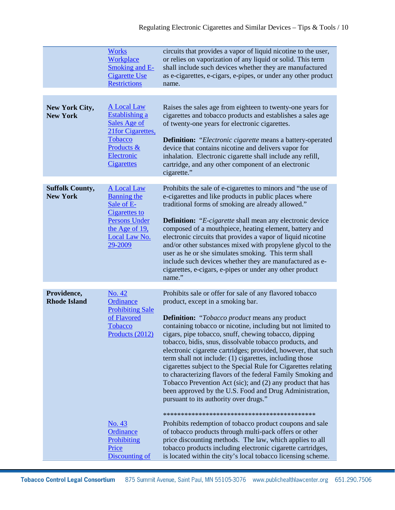|                                           | <b>Works</b><br>Workplace<br><b>Smoking and E-</b><br><b>Cigarette Use</b><br><b>Restrictions</b>                                                                                 | circuits that provides a vapor of liquid nicotine to the user,<br>or relies on vaporization of any liquid or solid. This term<br>shall include such devices whether they are manufactured<br>as e-cigarettes, e-cigars, e-pipes, or under any other product<br>name.                                                                                                                                                                                                                                                                                                                                                                                                                                                                                                                                                                                                                                                                                                                                                                                                                        |
|-------------------------------------------|-----------------------------------------------------------------------------------------------------------------------------------------------------------------------------------|---------------------------------------------------------------------------------------------------------------------------------------------------------------------------------------------------------------------------------------------------------------------------------------------------------------------------------------------------------------------------------------------------------------------------------------------------------------------------------------------------------------------------------------------------------------------------------------------------------------------------------------------------------------------------------------------------------------------------------------------------------------------------------------------------------------------------------------------------------------------------------------------------------------------------------------------------------------------------------------------------------------------------------------------------------------------------------------------|
| New York City,<br><b>New York</b>         | <b>A Local Law</b><br>Establishing a<br>Sales Age of<br>21 for Cigarettes,<br><b>Tobacco</b><br>Products &<br>Electronic<br><b>Cigarettes</b>                                     | Raises the sales age from eighteen to twenty-one years for<br>cigarettes and tobacco products and establishes a sales age<br>of twenty-one years for electronic cigarettes.<br><b>Definition:</b> "Electronic cigarette means a battery-operated<br>device that contains nicotine and delivers vapor for<br>inhalation. Electronic cigarette shall include any refill,<br>cartridge, and any other component of an electronic<br>cigarette."                                                                                                                                                                                                                                                                                                                                                                                                                                                                                                                                                                                                                                                |
| <b>Suffolk County,</b><br><b>New York</b> | <b>A Local Law</b><br><b>Banning the</b><br>Sale of E-<br><b>Cigarettes to</b><br><b>Persons Under</b><br>the Age of 19,<br>Local Law No.<br>29-2009                              | Prohibits the sale of e-cigarettes to minors and "the use of<br>e-cigarettes and like products in public places where<br>traditional forms of smoking are already allowed."<br><b>Definition:</b> "E-cigarette shall mean any electronic device<br>composed of a mouthpiece, heating element, battery and<br>electronic circuits that provides a vapor of liquid nicotine<br>and/or other substances mixed with propylene glycol to the<br>user as he or she simulates smoking. This term shall<br>include such devices whether they are manufactured as e-<br>cigarettes, e-cigars, e-pipes or under any other product<br>name."                                                                                                                                                                                                                                                                                                                                                                                                                                                           |
| Providence,<br><b>Rhode Island</b>        | No. 42<br>Ordinance<br><b>Prohibiting Sale</b><br>of Flavored<br><b>Tobacco</b><br>Products (2012)<br><u>No. 43</u><br><b>Ordinance</b><br>Prohibiting<br>Price<br>Discounting of | Prohibits sale or offer for sale of any flavored tobacco<br>product, except in a smoking bar.<br><b>Definition:</b> "Tobacco product means any product<br>containing tobacco or nicotine, including but not limited to<br>cigars, pipe tobacco, snuff, chewing tobacco, dipping<br>tobacco, bidis, snus, dissolvable tobacco products, and<br>electronic cigarette cartridges; provided, however, that such<br>term shall not include: (1) cigarettes, including those<br>cigarettes subject to the Special Rule for Cigarettes relating<br>to characterizing flavors of the federal Family Smoking and<br>Tobacco Prevention Act (sic); and (2) any product that has<br>been approved by the U.S. Food and Drug Administration,<br>pursuant to its authority over drugs."<br>Prohibits redemption of tobacco product coupons and sale<br>of tobacco products through multi-pack offers or other<br>price discounting methods. The law, which applies to all<br>tobacco products including electronic cigarette cartridges,<br>is located within the city's local tobacco licensing scheme. |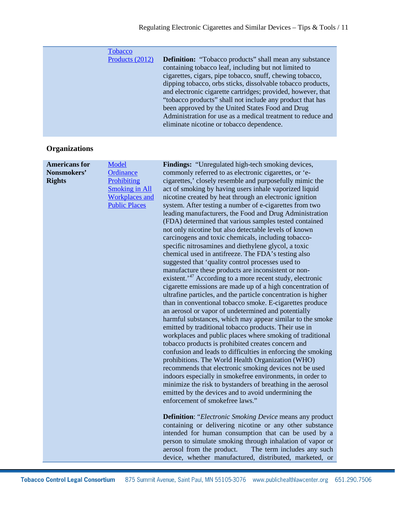| <b>Tobacco</b>  |                                                                |
|-----------------|----------------------------------------------------------------|
| Products (2012) | <b>Definition:</b> "Tobacco products" shall mean any substance |
|                 | containing tobacco leaf, including but not limited to          |
|                 | cigarettes, cigars, pipe tobacco, snuff, chewing tobacco,      |
|                 | dipping tobacco, orbs sticks, dissolvable tobacco products,    |
|                 | and electronic cigarette cartridges; provided, however, that   |
|                 | "tobacco products" shall not include any product that has      |
|                 | been approved by the United States Food and Drug               |
|                 | Administration for use as a medical treatment to reduce and    |
|                 | eliminate nicotine or tobacco dependence.                      |
|                 |                                                                |

# **Organizations**

| <b>Americans for</b> | Model                 | Findings: "Unregulated high-tech smoking devices,                    |
|----------------------|-----------------------|----------------------------------------------------------------------|
| Nonsmokers'          | Ordinance             | commonly referred to as electronic cigarettes, or 'e-                |
| <b>Rights</b>        | Prohibiting           | cigarettes,' closely resemble and purposefully mimic the             |
|                      | <b>Smoking in All</b> | act of smoking by having users inhale vaporized liquid               |
|                      | <b>Workplaces</b> and | nicotine created by heat through an electronic ignition              |
|                      | <b>Public Places</b>  | system. After testing a number of e-cigarettes from two              |
|                      |                       | leading manufacturers, the Food and Drug Administration              |
|                      |                       | (FDA) determined that various samples tested contained               |
|                      |                       | not only nicotine but also detectable levels of known                |
|                      |                       | carcinogens and toxic chemicals, including tobacco-                  |
|                      |                       | specific nitrosamines and diethylene glycol, a toxic                 |
|                      |                       | chemical used in antifreeze. The FDA's testing also                  |
|                      |                       | suggested that 'quality control processes used to                    |
|                      |                       | manufacture these products are inconsistent or non-                  |
|                      |                       | existent. <sup>47</sup> According to a more recent study, electronic |
|                      |                       | cigarette emissions are made up of a high concentration of           |
|                      |                       | ultrafine particles, and the particle concentration is higher        |
|                      |                       | than in conventional tobacco smoke. E-cigarettes produce             |
|                      |                       | an aerosol or vapor of undetermined and potentially                  |
|                      |                       | harmful substances, which may appear similar to the smoke            |
|                      |                       | emitted by traditional tobacco products. Their use in                |
|                      |                       | workplaces and public places where smoking of traditional            |
|                      |                       | tobacco products is prohibited creates concern and                   |
|                      |                       | confusion and leads to difficulties in enforcing the smoking         |
|                      |                       | prohibitions. The World Health Organization (WHO)                    |
|                      |                       | recommends that electronic smoking devices not be used               |
|                      |                       | indoors especially in smokefree environments, in order to            |
|                      |                       | minimize the risk to bystanders of breathing in the aerosol          |
|                      |                       | emitted by the devices and to avoid undermining the                  |
|                      |                       | enforcement of smokefree laws."                                      |
|                      |                       | <b>Definition:</b> "Electronic Smoking Device means any product      |
|                      |                       | containing or delivering nicotine or any other substance             |
|                      |                       | intended for human consumption that can be used by a                 |
|                      |                       | person to simulate smoking through inhalation of vapor or            |
|                      |                       | aerosol from the product.<br>The term includes any such              |
|                      |                       | device, whether manufactured, distributed, marketed, or              |
|                      |                       |                                                                      |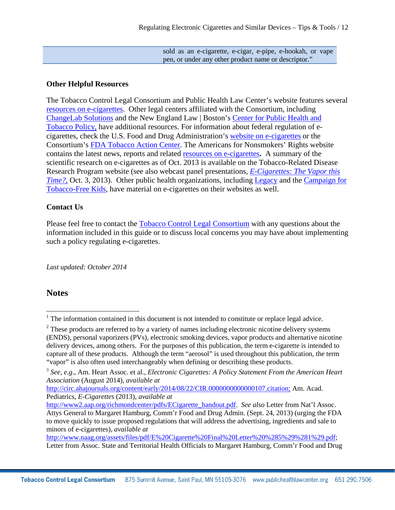sold as an e-cigarette, e-cigar, e-pipe, e-hookah, or vape pen, or under any other product name or descriptor."

#### **Other Helpful Resources**

The Tobacco Control Legal Consortium and Public Health Law Center's website features several [resources on e-cigarettes.](http://publichealthlawcenter.org/topics/tobacco-control/product-regulation/e-cigarettes) Other legal centers affiliated with the Consortium, including [ChangeLab Solutions](http://changelabsolutions.org/publications/e-cig-ord) and the New England Law | Boston's [Center for Public Health and](http://www.tobaccopolicycenter.org/)  [Tobacco Policy,](http://www.tobaccopolicycenter.org/) have additional resources. For information about federal regulation of ecigarettes, check the U.S. Food and Drug Administration's [website on e-cigarettes](http://www.fda.gov/NewsEvents/PublicHealthFocus/ucm172906.htm) or the Consortium's [FDA Tobacco Action Center.](http://publichealthlawcenter.org/topics/tobacco-control/fda-tobacco-action-center) The Americans for Nonsmokers' Rights website contains the latest news, reports and related [resources on e-cigarettes](http://www.no-smoke.org/learnmore.php?id=645)**.** A summary of the scientific research on e-cigarettes as of Oct. 2013 is available on the Tobacco-Related Disease Research Program website (see also webcast panel presentations, *[E-Cigarettes: The Vapor this](http://www.trdrp.org/highlights-news-events/13-10-03-ecigarettes-the-vapor-this-time.html)  [Time?](http://www.trdrp.org/highlights-news-events/13-10-03-ecigarettes-the-vapor-this-time.html)*, Oct. 3, 2013). Other public health organizations, including [Legacy](http://www.legacyforhealth.org/content/search?SearchText=e-cigarettes) and the [Campaign for](http://www.tobaccofreekids.org/)  [Tobacco-Free Kids,](http://www.tobaccofreekids.org/) have material on e-cigarettes on their websites as well.

#### **Contact Us**

Please feel free to contact the [Tobacco Control Legal Consortium](http://publichealthlawcenter.org/programs/tobacco-control-legal-consortium) with any questions about the information included in this guide or to discuss local concerns you may have about implementing such a policy regulating e-cigarettes.

*Last updated: October 2014*

### **Notes**

l

[http://circ.ahajournals.org/content/early/2014/08/22/CIR.0000000000000107.citation;](http://circ.ahajournals.org/content/early/2014/08/22/CIR.0000000000000107.citation) Am. Acad. Pediatrics, *E-Cigarettes* (2013), *available at* 

[http://www.naag.org/assets/files/pdf/E%20Cigarette%20Final%20Letter%20%285%29%281%29.pdf;](http://www.naag.org/assets/files/pdf/E%20Cigarette%20Final%20Letter%20%285%29%281%29.pdf) Letter from Assoc. State and Territorial Health Officials to Margaret Hamburg, Comm'r Food and Drug

 $1$  The information contained in this document is not intended to constitute or replace legal advice.

 $2$  These products are referred to by a variety of names including electronic nicotine delivery systems (ENDS), personal vaporizers (PVs), electronic smoking devices, vapor products and alternative nicotine delivery devices, among others. For the purposes of this publication, the term e-cigarette is intended to capture all of these products. Although the term "aerosol" is used throughout this publication, the term "vapor" is also often used interchangeably when defining or describing these products.

<sup>3</sup> *See, e.g*., Am. Heart Assoc. et al., *Electronic Cigarettes: A Policy Statement From the American Heart Association* (August 2014), *available at* 

[http://www2.aap.org/richmondcenter/pdfs/ECigarette\\_handout.pdf.](http://www2.aap.org/richmondcenter/pdfs/ECigarette_handout.pdf) *See also* Letter from Nat'l Assoc. Attys General to Margaret Hamburg, Comm'r Food and Drug Admin. (Sept. 24, 2013) (urging the FDA to move quickly to issue proposed regulations that will address the advertising, ingredients and sale to minors of e-cigarettes), *available at*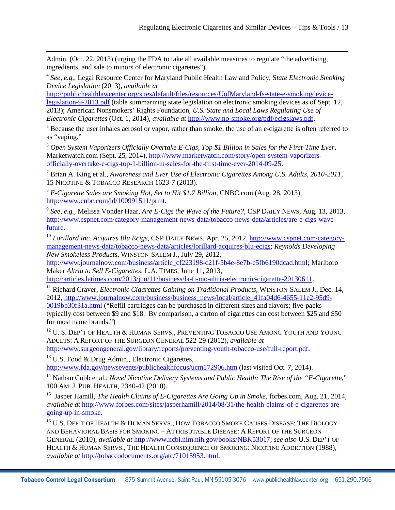Admin. (Oct. 22, 2013) (urging the FDA to take all available measures to regulate "the advertising, ingredients, and sale to minors of electronic cigarettes").

<span id="page-12-3"></span><sup>4</sup> *See, e.g.*, Legal Resource Center for Maryland Public Health Law and Policy, S*tate Electronic Smoking Device Legislation* (2013), *available at*

[http://publichealthlawcenter.org/sites/default/files/resources/UofMaryland-fs-state-e-smokingdevice](http://publichealthlawcenter.org/sites/default/files/resources/UofMaryland-fs-state-e-smokingdevice-legislation-9-2013.pdf)[legislation-9-2013.pdf](http://publichealthlawcenter.org/sites/default/files/resources/UofMaryland-fs-state-e-smokingdevice-legislation-9-2013.pdf) (table summarizing state legislation on electronic smoking devices as of Sept. 12, 2013); American Nonsmokers' Rights Foundation, *U.S. State and Local Laws Regulating Use of Electronic Cigarettes* (Oct. 1, 2014)*, available at* [http://www.no-smoke.org/pdf/ecigslaws.pdf.](http://www.no-smoke.org/pdf/ecigslaws.pdf)

<sup>5</sup> Because the user inhales aerosol or vapor, rather than smoke, the use of an e-cigarette is often referred to as "vaping."

<sup>6</sup> *Open System Vaporizers Officially Overtake E-Cigs, Top \$1 Billion in Sales for the First-Time Ever,*  Marketwatch.com (Sept. 25, 2014), [http://www.marketwatch.com/story/open-system-vaporizers](http://www.marketwatch.com/story/open-system-vaporizers-officially-overtake-e-cigs-top-1-billion-in-sales-for-the-first-time-ever-2014-09-25)[officially-overtake-e-cigs-top-1-billion-in-sales-for-the-first-time-ever-2014-09-25.](http://www.marketwatch.com/story/open-system-vaporizers-officially-overtake-e-cigs-top-1-billion-in-sales-for-the-first-time-ever-2014-09-25)

<sup>7</sup> Brian A. King et al., *Awareness and Ever Use of Electronic Cigarettes Among U.S. Adults, 2010-2011*, 15 NICOTINE & TOBACCO RESEARCH 1623-7 (2013).

<sup>8</sup> *E-Cigarette Sales are Smoking Hot, Set to Hit \$1.7 Billion*, CNBC.com (Aug. 28, 2013), [http://www.cnbc.com/id/100991511/print.](http://www.cnbc.com/id/100991511/print)

<sup>9</sup> *See, e.g.,* Melissa Vonder Haar, *Are E-Cigs the Wave of the Future?*, CSP DAILY NEWS, Aug. 13, 2013, [http://www.cspnet.com/category-management-news-data/tobacco-news-data/articles/are-e-cigs-wave](http://www.cspnet.com/category-management-news-data/tobacco-news-data/articles/are-e-cigs-wave-future)[future.](http://www.cspnet.com/category-management-news-data/tobacco-news-data/articles/are-e-cigs-wave-future)

<sup>10</sup> *Lorillard Inc. Acquires Blu Ecigs*, CSP DAILY NEWS, Apr. 25, 2012, *http://www.cspnet.com/category*[management-news-data/tobacco-news-data/articles/lorillard-acquires-blu-ecigs;](http://www.cspnet.com/category-management-news-data/tobacco-news-data/articles/lorillard-acquires-blu-ecigs) *Reynolds Developing New Smokeless Products*, WINSTON-SALEM J., July 29, 2012,

[http://www.journalnow.com/business/article\\_cf223198-c21f-5b4e-8e7b-c5fb6190dcad.html;](http://www.journalnow.com/business/article_cf223198-c21f-5b4e-8e7b-c5fb6190dcad.html) Marlboro Maker *Altria to Sell E-Cigarettes*, L.A. TIMES, June 11, 2013,

[http://articles.latimes.com/2013/jun/11/business/la-fi-mo-altria-electronic-cigarette-20130611.](http://articles.latimes.com/2013/jun/11/business/la-fi-mo-altria-electronic-cigarette-20130611)

<sup>11</sup> Richard Craver, *Electronic Cigarettes Gaining on Traditional Products*, WINSTON-SALEM J., Dec. 14, 2012, [http://www.journalnow.com/business/business\\_news/local/article\\_41fa04d6-4655-11e2-95d9-](http://www.journalnow.com/business/business_news/local/article_41fa04d6-4655-11e2-95d9-0019bb30f31a.html) [0019bb30f31a.html](http://www.journalnow.com/business/business_news/local/article_41fa04d6-4655-11e2-95d9-0019bb30f31a.html) ("Refill cartridges can be purchased in different sizes and flavors; five-packs typically cost between \$9 and \$18. By comparison, a carton of cigarettes can cost between \$25 and \$50 for most name brands.")

<span id="page-12-1"></span><span id="page-12-0"></span> $12$  U.S. Dep't of Health & Human Servs., Preventing Tobacco Use Among Youth and Young ADULTS: A REPORT OF THE SURGEON GENERAL 522-29 (2012), *available at*  [http://www.surgeongeneral.gov/library/reports/preventing-youth-tobacco-use/full-report.pdf.](http://www.surgeongeneral.gov/library/reports/preventing-youth-tobacco-use/full-report.pdf)

 $13$  U.S. Food & Drug Admin., Electronic Cigarettes, <http://www.fda.gov/newsevents/publichealthfocus/ucm172906.htm> (last visited Oct. 7, 2014).

<span id="page-12-2"></span><sup>14</sup> Nathan Cobb et al., *Novel Nicotine Delivery Systems and Public Health: The Rise of the "E-Cigarette,"* 

100 AM. J. PUB. HEALTH, 2340-42 (2010).

 $\overline{\phantom{a}}$ 

<sup>15</sup> Jasper Hamill, *The Health Claims of E-Cigarettes Are Going Up in Smoke*, forbes.com, Aug. 21, 2014, *available at* [http://www.forbes.com/sites/jasperhamill/2014/08/31/the-health-claims-of-e-cigarettes-are](http://www.forbes.com/sites/jasperhamill/2014/08/31/the-health-claims-of-e-cigarettes-are-going-up-in-smoke/)[going-up-in-smoke.](http://www.forbes.com/sites/jasperhamill/2014/08/31/the-health-claims-of-e-cigarettes-are-going-up-in-smoke/)

<sup>16</sup> U.S. DEP'T OF HEALTH & HUMAN SERVS., HOW TOBACCO SMOKE CAUSES DISEASE: THE BIOLOGY AND BEHAVIORAL BASIS FOR SMOKING – ATTRIBUTABLE DISEASE: A REPORT OF THE SURGEON GENERAL (2010), *available at* [http://www.ncbi.nlm.nih.gov/books/NBK53017;](http://www.ncbi.nlm.nih.gov/books/NBK53017) *see also* U.S. DEP'T OF HEALTH & HUMAN SERVS., THE HEALTH CONSEQUENCE OF SMOKING: NICOTINE ADDICTION (1988), *available at* [http://tobaccodocuments.org/atc/71015953.html.](http://tobaccodocuments.org/atc/71015953.html)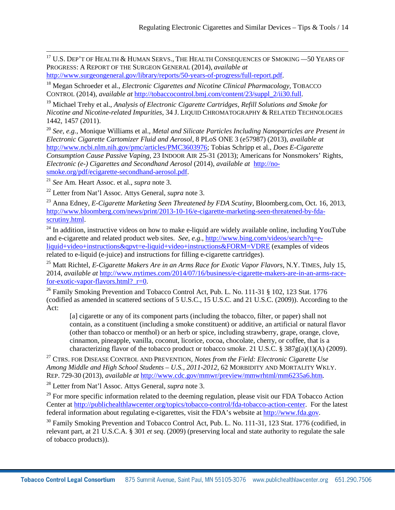$\overline{\phantom{a}}$ <sup>17</sup> U.S. DEP'T OF HEALTH & HUMAN SERVS., THE HEALTH CONSEQUENCES OF SMOKING *—*50 YEARS OF PROGRESS: A REPORT OF THE SURGEON GENERAL (2014), *available at* [http://www.surgeongeneral.gov/library/reports/50-years-of-progress/full-report.pdf.](http://www.surgeongeneral.gov/library/reports/50-years-of-progress/full-report.pdf)

<sup>18</sup> Megan Schroeder et al., *Electronic Cigarettes and Nicotine Clinical Pharmacology*, TOBACCO CONTROL (2014), *available at* [http://tobaccocontrol.bmj.com/content/23/suppl\\_2/ii30.full.](http://tobaccocontrol.bmj.com/content/23/suppl_2/ii30.full)

<sup>19</sup> Michael Trehy et al., *Analysis of Electronic Cigarette Cartridges, Refill Solutions and Smoke for Nicotine and Nicotine-related Impurities*, 34 J. LIQUID CHROMATOGRAPHY & RELATED TECHNOLOGIES 1442, 1457 (2011).

<span id="page-13-1"></span><span id="page-13-0"></span><sup>20</sup> *See, e.g.*, Monique Williams et al., *Metal and Silicate Particles Including Nanoparticles are Present in Electronic Cigarette Cartomizer Fluid and Aerosol*, 8 PLoS ONE 3 (e57987) (2013), *available at*  [http://www.ncbi.nlm.nih.gov/pmc/articles/PMC3603976;](http://www.ncbi.nlm.nih.gov/pmc/articles/PMC3603976) Tobias Schripp et al., *Does E-Cigarette Consumption Cause Passive Vaping*, 23 INDOOR AIR 25-31 (2013); Americans for Nonsmokers' Rights, *Electronic (e-) Cigarettes and Secondhand Aerosol* (2014), *available at* [http://no](http://no-smoke.org/pdf/ecigarette-secondhand-aerosol.pdf)[smoke.org/pdf/ecigarette-secondhand-aerosol.pdf.](http://no-smoke.org/pdf/ecigarette-secondhand-aerosol.pdf)

<span id="page-13-2"></span><sup>21</sup> *See* Am. Heart Assoc. et al., *supra* note 3.

<span id="page-13-3"></span><sup>22</sup> Letter from Nat'l Assoc. Attys General, *supra* note 3.

<span id="page-13-4"></span><sup>23</sup> Anna Edney, *E-Cigarette Marketing Seen Threatened by FDA Scutiny*, Bloomberg.com, Oct. 16, 2013, [http://www.bloomberg.com/news/print/2013-10-16/e-cigarette-marketing-seen-threatened-by-fda](http://www.bloomberg.com/news/print/2013-10-16/e-cigarette-marketing-seen-threatened-by-fda-scrutiny.html)[scrutiny.html.](http://www.bloomberg.com/news/print/2013-10-16/e-cigarette-marketing-seen-threatened-by-fda-scrutiny.html)

<span id="page-13-5"></span> $^{24}$  In addition, instructive videos on how to make e-liquid are widely available online, including YouTube and e-cigarette and related product web sites. *See, e.g.,* [http://www.bing.com/videos/search?q=e](http://www.bing.com/videos/search?q=e-liquid+video+instructions&qpvt=e-liquid+video+instructions&FORM=VDRE)[liquid+video+instructions&qpvt=e-liquid+video+instructions&FORM=VDRE](http://www.bing.com/videos/search?q=e-liquid+video+instructions&qpvt=e-liquid+video+instructions&FORM=VDRE) (examples of videos related to e-liquid (e-juice) and instructions for filling e-cigarette cartridges).

<sup>25</sup> Matt Richtel, *E-Cigarette Makers Are in an Arms Race for Exotic Vapor Flavors*, N.Y. TIMES, July 15, 2014, *available at* [http://www.nytimes.com/2014/07/16/business/e-cigarette-makers-are-in-an-arms-race](http://www.nytimes.com/2014/07/16/business/e-cigarette-makers-are-in-an-arms-race-for-exotic-vapor-flavors.html?_r=0)for-exotic-vapor-flavors.html? r=0.

<span id="page-13-6"></span><sup>26</sup> Family Smoking Prevention and Tobacco Control Act, Pub. L. No. 111-31  $\S$  102, 123 Stat. 1776 (codified as amended in scattered sections of 5 U.S.C., 15 U.S.C. and 21 U.S.C. (2009)). According to the Act:

[a] cigarette or any of its component parts (including the tobacco, filter, or paper) shall not contain, as a constituent (including a smoke constituent) or additive, an artificial or natural flavor (other than tobacco or menthol) or an herb or spice, including strawberry, grape, orange, clove, cinnamon, pineapple, vanilla, coconut, licorice, cocoa, chocolate, cherry, or coffee, that is a characterizing flavor of the tobacco product or tobacco smoke, 21 U.S.C. §  $387g(a)(1)(A)$  (2009).

<span id="page-13-8"></span><span id="page-13-7"></span><sup>27</sup> CTRS. FOR DISEASE CONTROL AND PREVENTION, *Notes from the Field: Electronic Cigarette Use Among Middle and High School Students – U.S., 2011-2012*, 62 MORBIDITY AND MORTALITY WKLY. REP. 729-30 (2013), *available at* [http://www.cdc.gov/mmwr/preview/mmwrhtml/mm6235a6.htm.](http://www.cdc.gov/mmwr/preview/mmwrhtml/mm6235a6.htm)

<span id="page-13-9"></span><sup>28</sup> Letter from Nat'l Assoc. Attys General, *supra* note 3.

<span id="page-13-10"></span><sup>29</sup> For more specific information related to the deeming regulation, please visit our FDA Tobacco Action Center at [http://publichealthlawcenter.org/topics/tobacco-control/fda-tobacco-action-center.](http://publichealthlawcenter.org/topics/tobacco-control/fda-tobacco-action-center) For the latest federal information about regulating e-cigarettes, visit the FDA's website at [http://www.fda.gov.](http://www.fda.gov/)

<span id="page-13-11"></span><sup>30</sup> Family Smoking Prevention and Tobacco Control Act, Pub. L. No. 111-31, 123 Stat. 1776 (codified, in relevant part, at 21 U.S.C.A. § 301 *et seq*. (2009) (preserving local and state authority to regulate the sale of tobacco products)).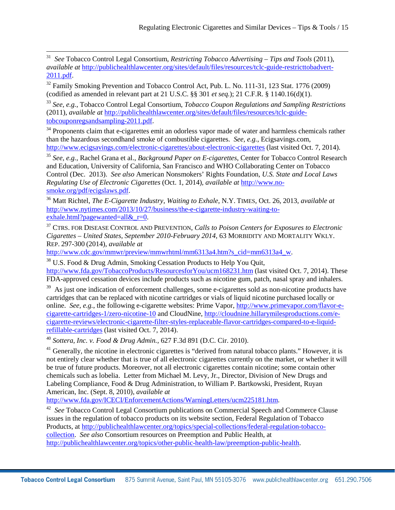<span id="page-14-0"></span>31 31 *See* Tobacco Control Legal Consortium, *Restricting Tobacco Advertising – Tips and Tools* (2011), *available at* [http://publichealthlawcenter.org/sites/default/files/resources/tclc-guide-restricttobadvert-](http://publichealthlawcenter.org/sites/default/files/resources/tclc-guide-restricttobadvert-2011.pdf)[2011.pdf.](http://publichealthlawcenter.org/sites/default/files/resources/tclc-guide-restricttobadvert-2011.pdf)

<span id="page-14-1"></span><sup>32</sup> Family Smoking Prevention and Tobacco Control Act, Pub. L. No. 111-31, 123 Stat. 1776 (2009) (codified as amended in relevant part at 21 U.S.C. §§ 301 *et seq.*); 21 C.F.R. § 1140.16(d)(1).

<span id="page-14-2"></span><sup>33</sup> *See, e.g.*, Tobacco Control Legal Consortium, *Tobacco Coupon Regulations and Sampling Restrictions* (2011), *available at* [http://publichealthlawcenter.org/sites/default/files/resources/tclc-guide](http://publichealthlawcenter.org/sites/default/files/resources/tclc-guide-tobcouponregsandsampling-2011.pdf)[tobcouponregsandsampling-2011.pdf.](http://publichealthlawcenter.org/sites/default/files/resources/tclc-guide-tobcouponregsandsampling-2011.pdf)

<span id="page-14-3"></span><sup>34</sup> Proponents claim that e-cigarettes emit an odorless vapor made of water and harmless chemicals rather than the hazardous secondhand smoke of combustible cigarettes. *See, e.g.*, Ecigsavings.com, [http://www.ecigsavings.com/electronic-cigarettes/about-electronic-cigarettes](http://www.ecigsavings.com/electronic-cigarettes/about-electronic-cigarettes/) (last visited Oct. 7, 2014).

<sup>35</sup> *See, e.g.*, Rachel Grana et al., *Background Paper on E-cigarettes*, Center for Tobacco Control Research and Education, University of California, San Francisco and WHO Collaborating Center on Tobacco Control (Dec. 2013). *See also* American Nonsmokers' Rights Foundation, *U.S. State and Local Laws Regulating Use of Electronic Cigarettes* (Oct. 1, 2014)*, available at* [http://www.no](http://www.no-smoke.org/pdf/ecigslaws.pdf)[smoke.org/pdf/ecigslaws.pdf.](http://www.no-smoke.org/pdf/ecigslaws.pdf)

<span id="page-14-6"></span><span id="page-14-5"></span><span id="page-14-4"></span><sup>36</sup> Matt Richtel, *The E-Cigarette Industry, Waiting to Exhale*, N.Y. TIMES, Oct. 26, 2013, *available at*  [http://www.nytimes.com/2013/10/27/business/the-e-cigarette-industry-waiting-to](http://www.nytimes.com/2013/10/27/business/the-e-cigarette-industry-waiting-to-exhale.html?pagewanted=all&_r=0)exhale.html?pagewanted=all $&$ r=0.

<span id="page-14-7"></span><sup>37</sup> CTRS. FOR DISEASE CONTROL AND PREVENTION, *Calls to Poison Centers for Exposures to Electronic Cigarettes – United States, September 2010-February 2014*, 63 MORBIDITY AND MORTALITY WKLY. REP. 297-300 (2014), *available at*

[http://www.cdc.gov/mmwr/preview/mmwrhtml/mm6313a4.htm?s\\_cid=mm6313a4\\_w.](http://www.cdc.gov/mmwr/preview/mmwrhtml/mm6313a4.htm?s_cid=mm6313a4_w)

<span id="page-14-8"></span><sup>38</sup> U.S. Food & Drug Admin, Smoking Cessation Products to Help You Quit, <http://www.fda.gov/TobaccoProducts/ResourcesforYou/ucm168231.htm> (last visited Oct. 7, 2014). These FDA-approved cessation devices include products such as nicotine gum, patch, nasal spray and inhalers.

<span id="page-14-9"></span><sup>39</sup> As just one indication of enforcement challenges, some e-cigarettes sold as non-nicotine products have cartridges that can be replaced with nicotine cartridges or vials of liquid nicotine purchased locally or online. *See, e.g.*, the following e-cigarette websites: Prime Vapor, [http://www.primevapor.com/flavor-e](http://www.primevapor.com/flavor-e-cigarette-cartridges-1/zero-nicotine-10)[cigarette-cartridges-1/zero-nicotine-10](http://www.primevapor.com/flavor-e-cigarette-cartridges-1/zero-nicotine-10) and CloudNine, [http://cloudnine.hillarymilesproductions.com/e](http://cloudnine.hillarymilesproductions.com/e-cigarette-reviews/electronic-cigarette-filter-styles-replaceable-flavor-cartridges-compared-to-e-liquid-refillable-cartridges/)[cigarette-reviews/electronic-cigarette-filter-styles-replaceable-flavor-cartridges-compared-to-e-liquid](http://cloudnine.hillarymilesproductions.com/e-cigarette-reviews/electronic-cigarette-filter-styles-replaceable-flavor-cartridges-compared-to-e-liquid-refillable-cartridges/)[refillable-cartridges](http://cloudnine.hillarymilesproductions.com/e-cigarette-reviews/electronic-cigarette-filter-styles-replaceable-flavor-cartridges-compared-to-e-liquid-refillable-cartridges/) (last visited Oct. 7, 2014).

<sup>40</sup> *Sottera, Inc. v. Food & Drug Admin.,* 627 F.3d 891 (D.C. Cir. 2010).

<span id="page-14-10"></span><sup>41</sup> Generally, the nicotine in electronic cigarettes is "derived from natural tobacco plants." However, it is not entirely clear whether that is true of all electronic cigarettes currently on the market, or whether it will be true of future products. Moreover, not all electronic cigarettes contain nicotine; some contain other chemicals such as lobelia. Letter from Michael M. Levy, Jr., Director, Division of New Drugs and Labeling Compliance, Food & Drug Administration, to William P. Bartkowski, President, Ruyan American, Inc. (Sept. 8, 2010), *available at*

<span id="page-14-12"></span><span id="page-14-11"></span>[http://www.fda.gov/ICECI/EnforcementActions/WarningLetters/ucm225181.htm.](http://www.fda.gov/ICECI/EnforcementActions/WarningLetters/ucm225181.htm)

42 *See* Tobacco Control Legal Consortium publications on Commercial Speech and Commerce Clause issues in the regulation of tobacco products on its website section, Federal Regulation of Tobacco Products, a[t http://publichealthlawcenter.org/topics/special-collections/federal-regulation-tobacco](http://publichealthlawcenter.org/topics/special-collections/federal-regulation-tobacco-collection)[collection.](http://publichealthlawcenter.org/topics/special-collections/federal-regulation-tobacco-collection) *See also* Consortium resources on Preemption and Public Health, at [http://publichealthlawcenter.org/topics/other-public-health-law/preemption-public-health.](http://publichealthlawcenter.org/topics/other-public-health-law/preemption-public-health)